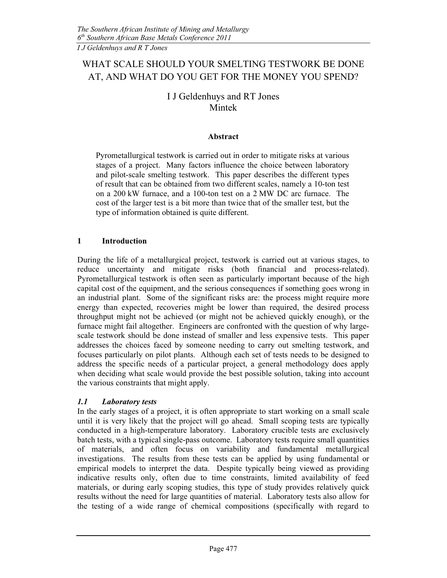# WHAT SCALE SHOULD YOUR SMELTING TESTWORK BE DONE AT, AND WHAT DO YOU GET FOR THE MONEY YOU SPEND?

## I J Geldenhuys and RT Jones Mintek

### Abstract

Pyrometallurgical testwork is carried out in order to mitigate risks at various stages of a project. Many factors influence the choice between laboratory and pilot-scale smelting testwork. This paper describes the different types of result that can be obtained from two different scales, namely a 10-ton test on a 200 kW furnace, and a 100-ton test on a 2 MW DC arc furnace. The cost of the larger test is a bit more than twice that of the smaller test, but the type of information obtained is quite different.

### 1 Introduction

During the life of a metallurgical project, testwork is carried out at various stages, to reduce uncertainty and mitigate risks (both financial and process-related). Pyrometallurgical testwork is often seen as particularly important because of the high capital cost of the equipment, and the serious consequences if something goes wrong in an industrial plant. Some of the significant risks are: the process might require more energy than expected, recoveries might be lower than required, the desired process throughput might not be achieved (or might not be achieved quickly enough), or the furnace might fail altogether. Engineers are confronted with the question of why largescale testwork should be done instead of smaller and less expensive tests. This paper addresses the choices faced by someone needing to carry out smelting testwork, and focuses particularly on pilot plants. Although each set of tests needs to be designed to address the specific needs of a particular project, a general methodology does apply when deciding what scale would provide the best possible solution, taking into account the various constraints that might apply.

#### 1.1 Laboratory tests

In the early stages of a project, it is often appropriate to start working on a small scale until it is very likely that the project will go ahead. Small scoping tests are typically conducted in a high-temperature laboratory. Laboratory crucible tests are exclusively batch tests, with a typical single-pass outcome. Laboratory tests require small quantities of materials, and often focus on variability and fundamental metallurgical investigations. The results from these tests can be applied by using fundamental or empirical models to interpret the data. Despite typically being viewed as providing indicative results only, often due to time constraints, limited availability of feed materials, or during early scoping studies, this type of study provides relatively quick results without the need for large quantities of material. Laboratory tests also allow for the testing of a wide range of chemical compositions (specifically with regard to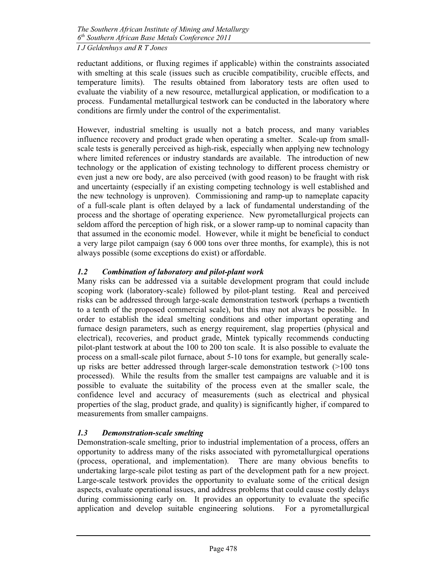reductant additions, or fluxing regimes if applicable) within the constraints associated with smelting at this scale (issues such as crucible compatibility, crucible effects, and temperature limits). The results obtained from laboratory tests are often used to evaluate the viability of a new resource, metallurgical application, or modification to a process. Fundamental metallurgical testwork can be conducted in the laboratory where conditions are firmly under the control of the experimentalist.

However, industrial smelting is usually not a batch process, and many variables influence recovery and product grade when operating a smelter. Scale-up from smallscale tests is generally perceived as high-risk, especially when applying new technology where limited references or industry standards are available. The introduction of new technology or the application of existing technology to different process chemistry or even just a new ore body, are also perceived (with good reason) to be fraught with risk and uncertainty (especially if an existing competing technology is well established and the new technology is unproven). Commissioning and ramp-up to nameplate capacity of a full-scale plant is often delayed by a lack of fundamental understanding of the process and the shortage of operating experience. New pyrometallurgical projects can seldom afford the perception of high risk, or a slower ramp-up to nominal capacity than that assumed in the economic model. However, while it might be beneficial to conduct a very large pilot campaign (say 6 000 tons over three months, for example), this is not always possible (some exceptions do exist) or affordable.

### 1.2 Combination of laboratory and pilot-plant work

Many risks can be addressed via a suitable development program that could include scoping work (laboratory-scale) followed by pilot-plant testing. Real and perceived risks can be addressed through large-scale demonstration testwork (perhaps a twentieth to a tenth of the proposed commercial scale), but this may not always be possible. In order to establish the ideal smelting conditions and other important operating and furnace design parameters, such as energy requirement, slag properties (physical and electrical), recoveries, and product grade, Mintek typically recommends conducting pilot-plant testwork at about the 100 to 200 ton scale. It is also possible to evaluate the process on a small-scale pilot furnace, about 5-10 tons for example, but generally scaleup risks are better addressed through larger-scale demonstration testwork (>100 tons processed). While the results from the smaller test campaigns are valuable and it is possible to evaluate the suitability of the process even at the smaller scale, the confidence level and accuracy of measurements (such as electrical and physical properties of the slag, product grade, and quality) is significantly higher, if compared to measurements from smaller campaigns.

### 1.3 Demonstration-scale smelting

Demonstration-scale smelting, prior to industrial implementation of a process, offers an opportunity to address many of the risks associated with pyrometallurgical operations (process, operational, and implementation). There are many obvious benefits to undertaking large-scale pilot testing as part of the development path for a new project. Large-scale testwork provides the opportunity to evaluate some of the critical design aspects, evaluate operational issues, and address problems that could cause costly delays during commissioning early on. It provides an opportunity to evaluate the specific application and develop suitable engineering solutions. For a pyrometallurgical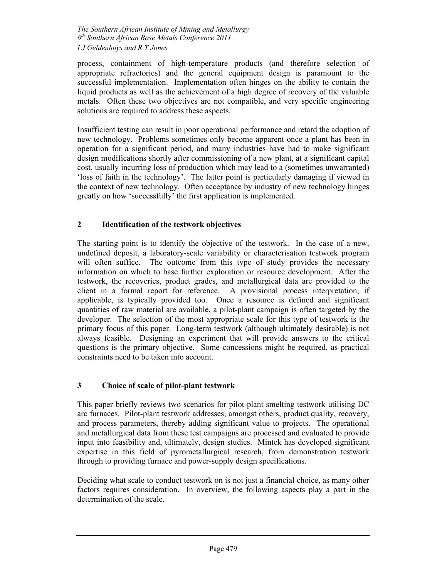process, containment of high-temperature products (and therefore selection of appropriate refractories) and the general equipment design is paramount to the successful implementation. Implementation often hinges on the ability to contain the liquid products as well as the achievement of a high degree of recovery of the valuable metals. Often these two objectives are not compatible, and very specific engineering solutions are required to address these aspects.

Insufficient testing can result in poor operational performance and retard the adoption of new technology. Problems sometimes only become apparent once a plant has been in operation for a significant period, and many industries have had to make significant design modifications shortly after commissioning of a new plant, at a significant capital cost, usually incurring loss of production which may lead to a (sometimes unwarranted) 'loss of faith in the technology'. The latter point is particularly damaging if viewed in the context of new technology. Often acceptance by industry of new technology hinges greatly on how 'successfully' the first application is implemented.

### 2 Identification of the testwork objectives

The starting point is to identify the objective of the testwork. In the case of a new, undefined deposit, a laboratory-scale variability or characterisation testwork program will often suffice. The outcome from this type of study provides the necessary information on which to base further exploration or resource development. After the testwork, the recoveries, product grades, and metallurgical data are provided to the client in a formal report for reference. A provisional process interpretation, if applicable, is typically provided too. Once a resource is defined and significant quantities of raw material are available, a pilot-plant campaign is often targeted by the developer. The selection of the most appropriate scale for this type of testwork is the primary focus of this paper. Long-term testwork (although ultimately desirable) is not always feasible. Designing an experiment that will provide answers to the critical questions is the primary objective. Some concessions might be required, as practical constraints need to be taken into account.

### 3 Choice of scale of pilot-plant testwork

This paper briefly reviews two scenarios for pilot-plant smelting testwork utilising DC arc furnaces. Pilot-plant testwork addresses, amongst others, product quality, recovery, and process parameters, thereby adding significant value to projects. The operational and metallurgical data from these test campaigns are processed and evaluated to provide input into feasibility and, ultimately, design studies. Mintek has developed significant expertise in this field of pyrometallurgical research, from demonstration testwork through to providing furnace and power-supply design specifications.

Deciding what scale to conduct testwork on is not just a financial choice, as many other factors requires consideration. In overview, the following aspects play a part in the determination of the scale.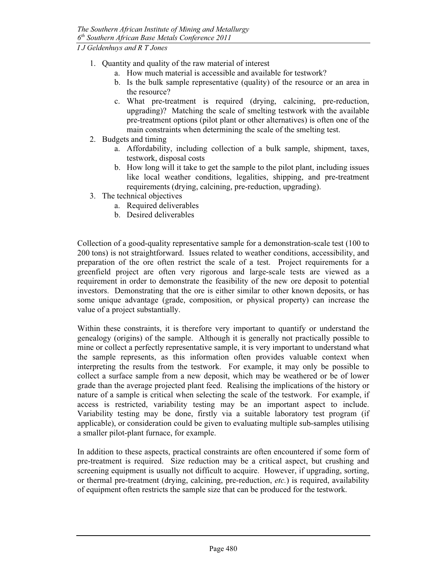- 1. Quantity and quality of the raw material of interest
	- a. How much material is accessible and available for testwork?
	- b. Is the bulk sample representative (quality) of the resource or an area in the resource?
	- c. What pre-treatment is required (drying, calcining, pre-reduction, upgrading)? Matching the scale of smelting testwork with the available pre-treatment options (pilot plant or other alternatives) is often one of the main constraints when determining the scale of the smelting test.
- 2. Budgets and timing
	- a. Affordability, including collection of a bulk sample, shipment, taxes, testwork, disposal costs
	- b. How long will it take to get the sample to the pilot plant, including issues like local weather conditions, legalities, shipping, and pre-treatment requirements (drying, calcining, pre-reduction, upgrading).
- 3. The technical objectives
	- a. Required deliverables
	- b. Desired deliverables

Collection of a good-quality representative sample for a demonstration-scale test (100 to 200 tons) is not straightforward. Issues related to weather conditions, accessibility, and preparation of the ore often restrict the scale of a test. Project requirements for a greenfield project are often very rigorous and large-scale tests are viewed as a requirement in order to demonstrate the feasibility of the new ore deposit to potential investors. Demonstrating that the ore is either similar to other known deposits, or has some unique advantage (grade, composition, or physical property) can increase the value of a project substantially.

Within these constraints, it is therefore very important to quantify or understand the genealogy (origins) of the sample. Although it is generally not practically possible to mine or collect a perfectly representative sample, it is very important to understand what the sample represents, as this information often provides valuable context when interpreting the results from the testwork. For example, it may only be possible to collect a surface sample from a new deposit, which may be weathered or be of lower grade than the average projected plant feed. Realising the implications of the history or nature of a sample is critical when selecting the scale of the testwork. For example, if access is restricted, variability testing may be an important aspect to include. Variability testing may be done, firstly via a suitable laboratory test program (if applicable), or consideration could be given to evaluating multiple sub-samples utilising a smaller pilot-plant furnace, for example.

In addition to these aspects, practical constraints are often encountered if some form of pre-treatment is required. Size reduction may be a critical aspect, but crushing and screening equipment is usually not difficult to acquire. However, if upgrading, sorting, or thermal pre-treatment (drying, calcining, pre-reduction, etc.) is required, availability of equipment often restricts the sample size that can be produced for the testwork.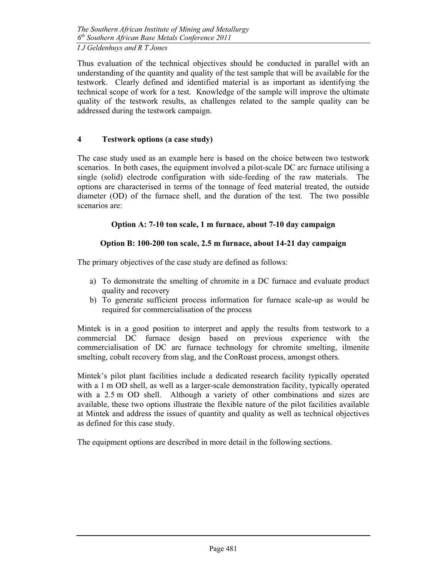Thus evaluation of the technical objectives should be conducted in parallel with an understanding of the quantity and quality of the test sample that will be available for the testwork. Clearly defined and identified material is as important as identifying the technical scope of work for a test. Knowledge of the sample will improve the ultimate quality of the testwork results, as challenges related to the sample quality can be addressed during the testwork campaign.

### 4 Testwork options (a case study)

The case study used as an example here is based on the choice between two testwork scenarios. In both cases, the equipment involved a pilot-scale DC arc furnace utilising a single (solid) electrode configuration with side-feeding of the raw materials. The options are characterised in terms of the tonnage of feed material treated, the outside diameter (OD) of the furnace shell, and the duration of the test. The two possible scenarios are:

### Option A: 7-10 ton scale, 1 m furnace, about 7-10 day campaign

### Option B: 100-200 ton scale, 2.5 m furnace, about 14-21 day campaign

The primary objectives of the case study are defined as follows:

- a) To demonstrate the smelting of chromite in a DC furnace and evaluate product quality and recovery
- b) To generate sufficient process information for furnace scale-up as would be required for commercialisation of the process

Mintek is in a good position to interpret and apply the results from testwork to a commercial DC furnace design based on previous experience with the commercialisation of DC arc furnace technology for chromite smelting, ilmenite smelting, cobalt recovery from slag, and the ConRoast process, amongst others.

Mintek's pilot plant facilities include a dedicated research facility typically operated with a 1 m OD shell, as well as a larger-scale demonstration facility, typically operated with a 2.5 m OD shell. Although a variety of other combinations and sizes are available, these two options illustrate the flexible nature of the pilot facilities available at Mintek and address the issues of quantity and quality as well as technical objectives as defined for this case study.

The equipment options are described in more detail in the following sections.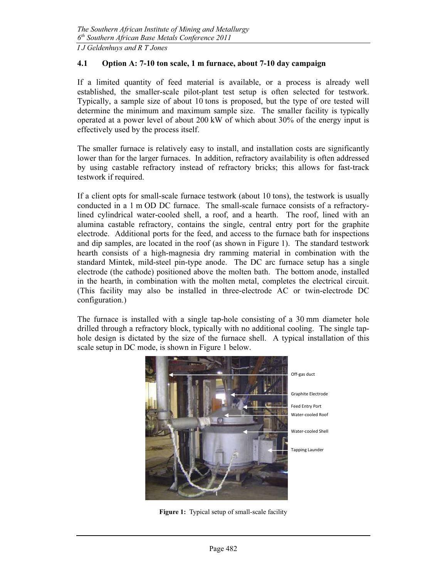#### 4.1 Option A: 7-10 ton scale, 1 m furnace, about 7-10 day campaign

If a limited quantity of feed material is available, or a process is already well established, the smaller-scale pilot-plant test setup is often selected for testwork. Typically, a sample size of about 10 tons is proposed, but the type of ore tested will determine the minimum and maximum sample size. The smaller facility is typically operated at a power level of about 200 kW of which about 30% of the energy input is effectively used by the process itself.

The smaller furnace is relatively easy to install, and installation costs are significantly lower than for the larger furnaces. In addition, refractory availability is often addressed by using castable refractory instead of refractory bricks; this allows for fast-track testwork if required.

If a client opts for small-scale furnace testwork (about 10 tons), the testwork is usually conducted in a 1 m OD DC furnace. The small-scale furnace consists of a refractorylined cylindrical water-cooled shell, a roof, and a hearth. The roof, lined with an alumina castable refractory, contains the single, central entry port for the graphite electrode. Additional ports for the feed, and access to the furnace bath for inspections and dip samples, are located in the roof (as shown in Figure 1). The standard testwork hearth consists of a high-magnesia dry ramming material in combination with the standard Mintek, mild-steel pin-type anode. The DC arc furnace setup has a single electrode (the cathode) positioned above the molten bath. The bottom anode, installed in the hearth, in combination with the molten metal, completes the electrical circuit. (This facility may also be installed in three-electrode AC or twin-electrode DC configuration.)

The furnace is installed with a single tap-hole consisting of a 30 mm diameter hole drilled through a refractory block, typically with no additional cooling. The single taphole design is dictated by the size of the furnace shell. A typical installation of this scale setup in DC mode, is shown in Figure 1 below.



Figure 1: Typical setup of small-scale facility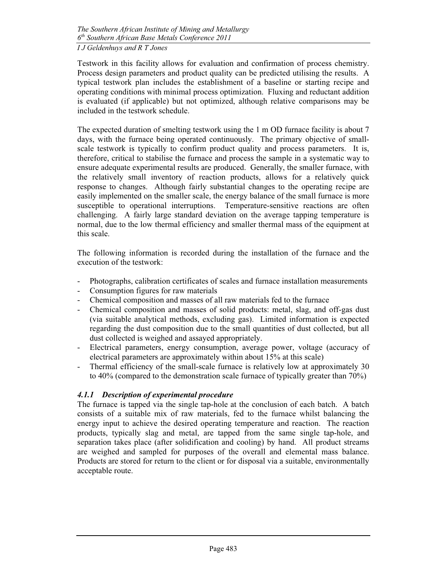Testwork in this facility allows for evaluation and confirmation of process chemistry. Process design parameters and product quality can be predicted utilising the results. A typical testwork plan includes the establishment of a baseline or starting recipe and operating conditions with minimal process optimization. Fluxing and reductant addition is evaluated (if applicable) but not optimized, although relative comparisons may be included in the testwork schedule.

The expected duration of smelting testwork using the 1 m OD furnace facility is about 7 days, with the furnace being operated continuously. The primary objective of smallscale testwork is typically to confirm product quality and process parameters. It is, therefore, critical to stabilise the furnace and process the sample in a systematic way to ensure adequate experimental results are produced. Generally, the smaller furnace, with the relatively small inventory of reaction products, allows for a relatively quick response to changes. Although fairly substantial changes to the operating recipe are easily implemented on the smaller scale, the energy balance of the small furnace is more susceptible to operational interruptions. Temperature-sensitive reactions are often challenging. A fairly large standard deviation on the average tapping temperature is normal, due to the low thermal efficiency and smaller thermal mass of the equipment at this scale.

The following information is recorded during the installation of the furnace and the execution of the testwork:

- Photographs, calibration certificates of scales and furnace installation measurements
- Consumption figures for raw materials
- Chemical composition and masses of all raw materials fed to the furnace
- Chemical composition and masses of solid products: metal, slag, and off-gas dust (via suitable analytical methods, excluding gas). Limited information is expected regarding the dust composition due to the small quantities of dust collected, but all dust collected is weighed and assayed appropriately.
- Electrical parameters, energy consumption, average power, voltage (accuracy of electrical parameters are approximately within about 15% at this scale)
- Thermal efficiency of the small-scale furnace is relatively low at approximately 30 to 40% (compared to the demonstration scale furnace of typically greater than 70%)

### 4.1.1 Description of experimental procedure

The furnace is tapped via the single tap-hole at the conclusion of each batch. A batch consists of a suitable mix of raw materials, fed to the furnace whilst balancing the energy input to achieve the desired operating temperature and reaction. The reaction products, typically slag and metal, are tapped from the same single tap-hole, and separation takes place (after solidification and cooling) by hand. All product streams are weighed and sampled for purposes of the overall and elemental mass balance. Products are stored for return to the client or for disposal via a suitable, environmentally acceptable route.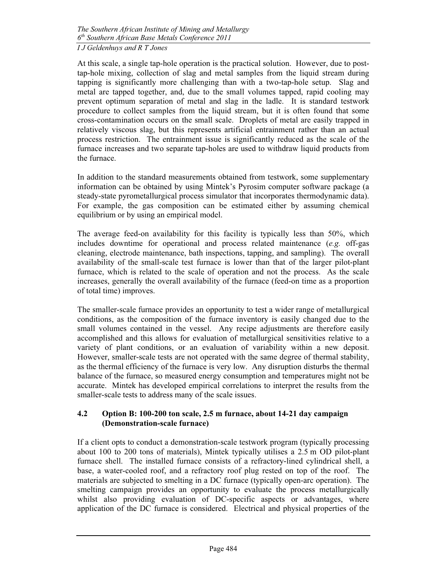At this scale, a single tap-hole operation is the practical solution. However, due to posttap-hole mixing, collection of slag and metal samples from the liquid stream during tapping is significantly more challenging than with a two-tap-hole setup. Slag and metal are tapped together, and, due to the small volumes tapped, rapid cooling may prevent optimum separation of metal and slag in the ladle. It is standard testwork procedure to collect samples from the liquid stream, but it is often found that some cross-contamination occurs on the small scale. Droplets of metal are easily trapped in relatively viscous slag, but this represents artificial entrainment rather than an actual process restriction. The entrainment issue is significantly reduced as the scale of the furnace increases and two separate tap-holes are used to withdraw liquid products from the furnace.

In addition to the standard measurements obtained from testwork, some supplementary information can be obtained by using Mintek's Pyrosim computer software package (a steady-state pyrometallurgical process simulator that incorporates thermodynamic data). For example, the gas composition can be estimated either by assuming chemical equilibrium or by using an empirical model.

The average feed-on availability for this facility is typically less than 50%, which includes downtime for operational and process related maintenance  $(e.g.$  off-gas cleaning, electrode maintenance, bath inspections, tapping, and sampling). The overall availability of the small-scale test furnace is lower than that of the larger pilot-plant furnace, which is related to the scale of operation and not the process. As the scale increases, generally the overall availability of the furnace (feed-on time as a proportion of total time) improves.

The smaller-scale furnace provides an opportunity to test a wider range of metallurgical conditions, as the composition of the furnace inventory is easily changed due to the small volumes contained in the vessel. Any recipe adjustments are therefore easily accomplished and this allows for evaluation of metallurgical sensitivities relative to a variety of plant conditions, or an evaluation of variability within a new deposit. However, smaller-scale tests are not operated with the same degree of thermal stability, as the thermal efficiency of the furnace is very low. Any disruption disturbs the thermal balance of the furnace, so measured energy consumption and temperatures might not be accurate. Mintek has developed empirical correlations to interpret the results from the smaller-scale tests to address many of the scale issues.

### 4.2 Option B: 100-200 ton scale, 2.5 m furnace, about 14-21 day campaign (Demonstration-scale furnace)

If a client opts to conduct a demonstration-scale testwork program (typically processing about 100 to 200 tons of materials), Mintek typically utilises a 2.5 m OD pilot-plant furnace shell. The installed furnace consists of a refractory-lined cylindrical shell, a base, a water-cooled roof, and a refractory roof plug rested on top of the roof. The materials are subjected to smelting in a DC furnace (typically open-arc operation). The smelting campaign provides an opportunity to evaluate the process metallurgically whilst also providing evaluation of DC-specific aspects or advantages, where application of the DC furnace is considered. Electrical and physical properties of the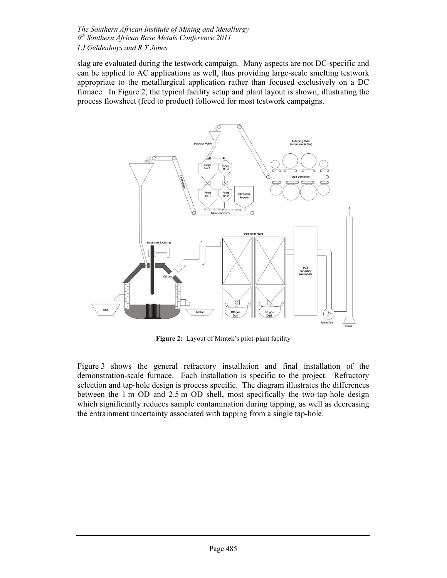slag are evaluated during the testwork campaign. Many aspects are not DC-specific and can be applied to AC applications as well, thus providing large-scale smelting testwork appropriate to the metallurgical application rather than focused exclusively on a DC furnace. In Figure 2, the typical facility setup and plant layout is shown, illustrating the process flowsheet (feed to product) followed for most testwork campaigns.



Figure 2: Layout of Mintek's pilot-plant facility

Figure 3 shows the general refractory installation and final installation of the demonstration-scale furnace. Each installation is specific to the project. Refractory selection and tap-hole design is process specific. The diagram illustrates the differences between the 1 m OD and 2.5 m OD shell, most specifically the two-tap-hole design which significantly reduces sample contamination during tapping, as well as decreasing the entrainment uncertainty associated with tapping from a single tap-hole.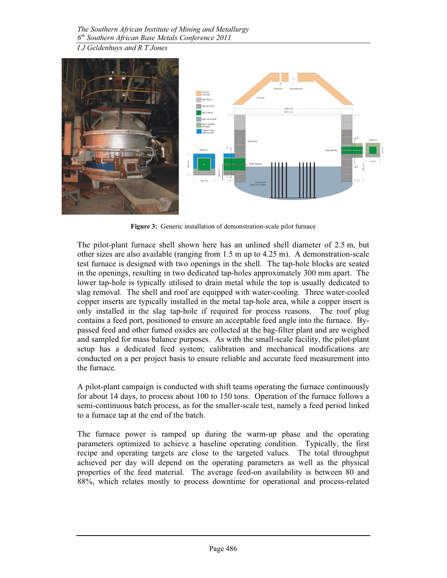

Figure 3: Generic installation of demonstration-scale pilot furnace

The pilot-plant furnace shell shown here has an unlined shell diameter of 2.5 m, but other sizes are also available (ranging from 1.5 m up to 4.25 m). A demonstration-scale test furnace is designed with two openings in the shell. The tap-hole blocks are seated in the openings, resulting in two dedicated tap-holes approximately 300 mm apart. The lower tap-hole is typically utilised to drain metal while the top is usually dedicated to slag removal. The shell and roof are equipped with water-cooling. Three water-cooled copper inserts are typically installed in the metal tap-hole area, while a copper insert is only installed in the slag tap-hole if required for process reasons. The roof plug contains a feed port, positioned to ensure an acceptable feed angle into the furnace. Bypassed feed and other fumed oxides are collected at the bag-filter plant and are weighed and sampled for mass balance purposes. As with the small-scale facility, the pilot-plant setup has a dedicated feed system; calibration and mechanical modifications are conducted on a per project basis to ensure reliable and accurate feed measurement into the furnace.

A pilot-plant campaign is conducted with shift teams operating the furnace continuously for about 14 days, to process about 100 to 150 tons. Operation of the furnace follows a semi-continuous batch process, as for the smaller-scale test, namely a feed period linked to a furnace tap at the end of the batch.

The furnace power is ramped up during the warm-up phase and the operating parameters optimized to achieve a baseline operating condition. Typically, the first recipe and operating targets are close to the targeted values. The total throughput achieved per day will depend on the operating parameters as well as the physical properties of the feed material. The average feed-on availability is between 80 and 88%, which relates mostly to process downtime for operational and process-related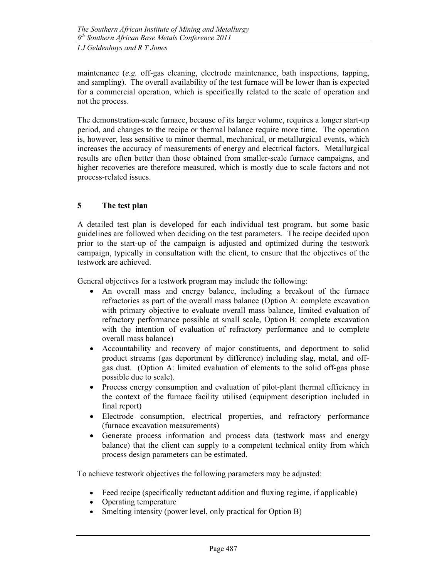maintenance  $(e.g.$  off-gas cleaning, electrode maintenance, bath inspections, tapping, and sampling). The overall availability of the test furnace will be lower than is expected for a commercial operation, which is specifically related to the scale of operation and not the process.

The demonstration-scale furnace, because of its larger volume, requires a longer start-up period, and changes to the recipe or thermal balance require more time. The operation is, however, less sensitive to minor thermal, mechanical, or metallurgical events, which increases the accuracy of measurements of energy and electrical factors. Metallurgical results are often better than those obtained from smaller-scale furnace campaigns, and higher recoveries are therefore measured, which is mostly due to scale factors and not process-related issues.

### 5 The test plan

A detailed test plan is developed for each individual test program, but some basic guidelines are followed when deciding on the test parameters. The recipe decided upon prior to the start-up of the campaign is adjusted and optimized during the testwork campaign, typically in consultation with the client, to ensure that the objectives of the testwork are achieved.

General objectives for a testwork program may include the following:

- • An overall mass and energy balance, including a breakout of the furnace refractories as part of the overall mass balance (Option A: complete excavation with primary objective to evaluate overall mass balance, limited evaluation of refractory performance possible at small scale, Option B: complete excavation with the intention of evaluation of refractory performance and to complete overall mass balance)
- Accountability and recovery of major constituents, and deportment to solid product streams (gas deportment by difference) including slag, metal, and offgas dust. (Option A: limited evaluation of elements to the solid off-gas phase possible due to scale).
- Process energy consumption and evaluation of pilot-plant thermal efficiency in the context of the furnace facility utilised (equipment description included in final report)
- Electrode consumption, electrical properties, and refractory performance (furnace excavation measurements)
- Generate process information and process data (testwork mass and energy balance) that the client can supply to a competent technical entity from which process design parameters can be estimated.

To achieve testwork objectives the following parameters may be adjusted:

- Feed recipe (specifically reductant addition and fluxing regime, if applicable)
- Operating temperature
- Smelting intensity (power level, only practical for Option B)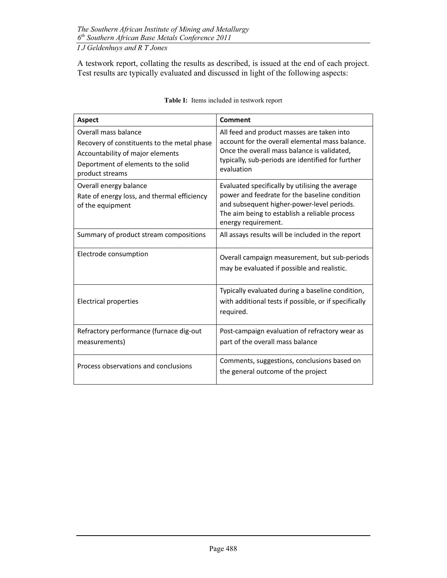A testwork report, collating the results as described, is issued at the end of each project. Test results are typically evaluated and discussed in light of the following aspects:

| <b>Aspect</b>                                                                                                                                                     | Comment                                                                                                                                                                                                                |  |  |  |  |
|-------------------------------------------------------------------------------------------------------------------------------------------------------------------|------------------------------------------------------------------------------------------------------------------------------------------------------------------------------------------------------------------------|--|--|--|--|
| Overall mass balance<br>Recovery of constituents to the metal phase<br>Accountability of major elements<br>Deportment of elements to the solid<br>product streams | All feed and product masses are taken into<br>account for the overall elemental mass balance.<br>Once the overall mass balance is validated,<br>typically, sub-periods are identified for further<br>evaluation        |  |  |  |  |
| Overall energy balance<br>Rate of energy loss, and thermal efficiency<br>of the equipment                                                                         | Evaluated specifically by utilising the average<br>power and feedrate for the baseline condition<br>and subsequent higher-power-level periods.<br>The aim being to establish a reliable process<br>energy requirement. |  |  |  |  |
| Summary of product stream compositions                                                                                                                            | All assays results will be included in the report                                                                                                                                                                      |  |  |  |  |
| Electrode consumption                                                                                                                                             | Overall campaign measurement, but sub-periods<br>may be evaluated if possible and realistic.                                                                                                                           |  |  |  |  |
| <b>Electrical properties</b>                                                                                                                                      | Typically evaluated during a baseline condition,<br>with additional tests if possible, or if specifically<br>required.                                                                                                 |  |  |  |  |
| Refractory performance (furnace dig-out<br>measurements)                                                                                                          | Post-campaign evaluation of refractory wear as<br>part of the overall mass balance                                                                                                                                     |  |  |  |  |
| Process observations and conclusions                                                                                                                              | Comments, suggestions, conclusions based on<br>the general outcome of the project                                                                                                                                      |  |  |  |  |

|  |  | <b>Table I:</b> Items included in testwork report |
|--|--|---------------------------------------------------|
|  |  |                                                   |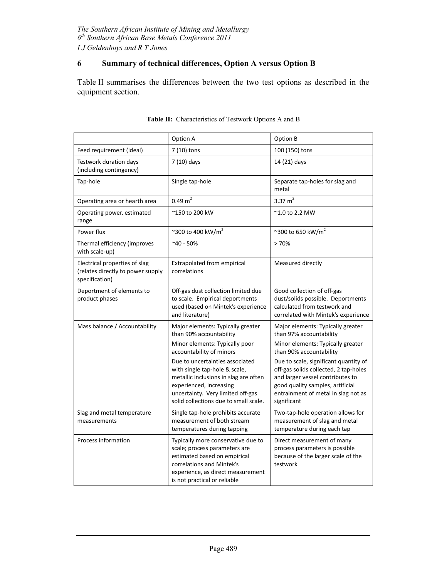## 6 Summary of technical differences, Option A versus Option B

Table II summarises the differences between the two test options as described in the equipment section.

|                                                                                               | Option A                                                                                                                                                                                                           | Option B                                                                                                                                                                                                     |  |  |
|-----------------------------------------------------------------------------------------------|--------------------------------------------------------------------------------------------------------------------------------------------------------------------------------------------------------------------|--------------------------------------------------------------------------------------------------------------------------------------------------------------------------------------------------------------|--|--|
| Feed requirement (ideal)                                                                      | 7 (10) tons                                                                                                                                                                                                        | 100 (150) tons                                                                                                                                                                                               |  |  |
| Testwork duration days<br>(including contingency)                                             | 7 (10) days                                                                                                                                                                                                        | 14 (21) days                                                                                                                                                                                                 |  |  |
| Tap-hole                                                                                      | Single tap-hole                                                                                                                                                                                                    | Separate tap-holes for slag and<br>metal                                                                                                                                                                     |  |  |
| Operating area or hearth area                                                                 | $0.49 \text{ m}^2$                                                                                                                                                                                                 | 3.37 $m2$                                                                                                                                                                                                    |  |  |
| Operating power, estimated<br>range                                                           | ~150 to 200 kW                                                                                                                                                                                                     | $^{\sim}$ 1.0 to 2.2 MW                                                                                                                                                                                      |  |  |
| Power flux                                                                                    | ~300 to 400 kW/m <sup>2</sup>                                                                                                                                                                                      | ~300 to 650 kW/m <sup>2</sup>                                                                                                                                                                                |  |  |
| Thermal efficiency (improves<br>with scale-up)                                                | $^{\sim}40 - 50\%$                                                                                                                                                                                                 | >70%                                                                                                                                                                                                         |  |  |
| Electrical properties of slag<br>(relates directly to power supply<br>specification)          | Extrapolated from empirical<br>correlations                                                                                                                                                                        | Measured directly                                                                                                                                                                                            |  |  |
| Deportment of elements to<br>product phases                                                   | Off-gas dust collection limited due<br>to scale. Empirical deportments<br>used (based on Mintek's experience<br>and literature)                                                                                    | Good collection of off-gas<br>dust/solids possible. Deportments<br>calculated from testwork and<br>correlated with Mintek's experience                                                                       |  |  |
| Mass balance / Accountability<br>Major elements: Typically greater<br>than 90% accountability |                                                                                                                                                                                                                    | Major elements: Typically greater<br>than 97% accountability                                                                                                                                                 |  |  |
|                                                                                               | Minor elements: Typically poor<br>accountability of minors                                                                                                                                                         | Minor elements: Typically greater<br>than 90% accountability                                                                                                                                                 |  |  |
|                                                                                               | Due to uncertainties associated<br>with single tap-hole & scale,<br>metallic inclusions in slag are often<br>experienced, increasing<br>uncertainty. Very limited off-gas<br>solid collections due to small scale. | Due to scale, significant quantity of<br>off-gas solids collected, 2 tap-holes<br>and larger vessel contributes to<br>good quality samples, artificial<br>entrainment of metal in slag not as<br>significant |  |  |
| Slag and metal temperature<br>measurements                                                    | Single tap-hole prohibits accurate<br>measurement of both stream<br>temperatures during tapping                                                                                                                    | Two-tap-hole operation allows for<br>measurement of slag and metal<br>temperature during each tap                                                                                                            |  |  |
| Process information                                                                           | Typically more conservative due to<br>scale; process parameters are<br>estimated based on empirical<br>correlations and Mintek's<br>experience, as direct measurement<br>is not practical or reliable              | Direct measurement of many<br>process parameters is possible<br>because of the larger scale of the<br>testwork                                                                                               |  |  |

| Table II: Characteristics of Testwork Options A and B |
|-------------------------------------------------------|
|                                                       |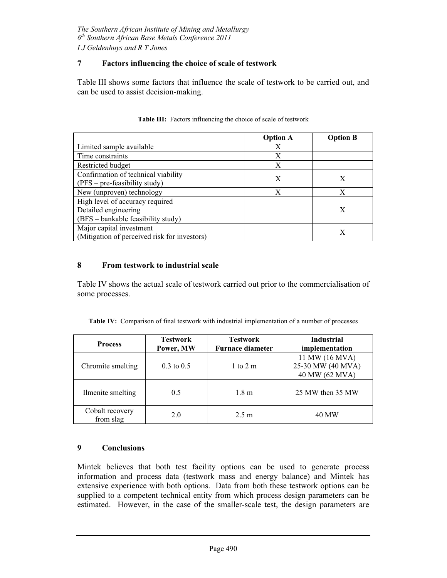#### 7 Factors influencing the choice of scale of testwork

Table III shows some factors that influence the scale of testwork to be carried out, and can be used to assist decision-making.

|                                              | <b>Option A</b> | <b>Option B</b> |  |
|----------------------------------------------|-----------------|-----------------|--|
| Limited sample available                     | X               |                 |  |
| Time constraints                             | X               |                 |  |
| Restricted budget                            | X               |                 |  |
| Confirmation of technical viability          | X               | Х               |  |
| $(PFS - pre-feasiibility study)$             |                 |                 |  |
| New (unproven) technology                    | X               | X               |  |
| High level of accuracy required              |                 |                 |  |
| Detailed engineering                         |                 | X               |  |
| (BFS – bankable feasibility study)           |                 |                 |  |
| Major capital investment                     |                 |                 |  |
| (Mitigation of perceived risk for investors) |                 |                 |  |

#### Table III: Factors influencing the choice of scale of testwork

#### 8 From testwork to industrial scale

Table IV shows the actual scale of testwork carried out prior to the commercialisation of some processes.

| Table IV: Comparison of final testwork with industrial implementation of a number of processes |  |  |  |  |  |
|------------------------------------------------------------------------------------------------|--|--|--|--|--|
|                                                                                                |  |  |  |  |  |

| <b>Process</b>               | <b>Testwork</b><br>Power, MW | <b>Testwork</b><br><b>Furnace diameter</b> | <b>Industrial</b><br>implementation                   |
|------------------------------|------------------------------|--------------------------------------------|-------------------------------------------------------|
| Chromite smelting            | $0.3 \text{ to } 0.5$        | 1 to 2 m                                   | 11 MW (16 MVA)<br>25-30 MW (40 MVA)<br>40 MW (62 MVA) |
| Ilmenite smelting            | 0.5                          | 1.8 <sub>m</sub>                           | 25 MW then 35 MW                                      |
| Cobalt recovery<br>from slag | 2.0                          | $2.5 \text{ m}$                            | 40 MW                                                 |

#### 9 Conclusions

Mintek believes that both test facility options can be used to generate process information and process data (testwork mass and energy balance) and Mintek has extensive experience with both options. Data from both these testwork options can be supplied to a competent technical entity from which process design parameters can be estimated. However, in the case of the smaller-scale test, the design parameters are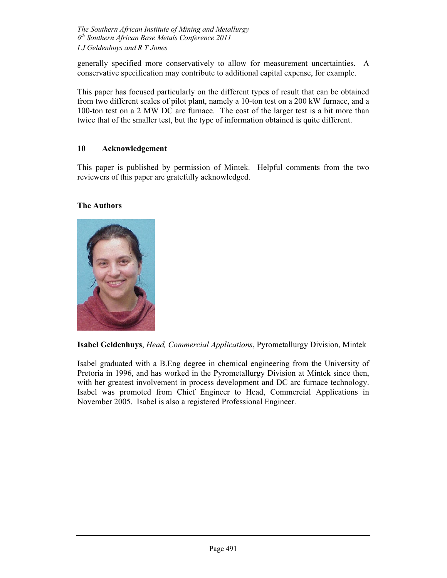generally specified more conservatively to allow for measurement uncertainties. A conservative specification may contribute to additional capital expense, for example.

This paper has focused particularly on the different types of result that can be obtained from two different scales of pilot plant, namely a 10-ton test on a 200 kW furnace, and a 100-ton test on a 2 MW DC arc furnace. The cost of the larger test is a bit more than twice that of the smaller test, but the type of information obtained is quite different.

### 10 Acknowledgement

This paper is published by permission of Mintek. Helpful comments from the two reviewers of this paper are gratefully acknowledged.

### The Authors



Isabel Geldenhuys, Head, Commercial Applications, Pyrometallurgy Division, Mintek

Isabel graduated with a B.Eng degree in chemical engineering from the University of Pretoria in 1996, and has worked in the Pyrometallurgy Division at Mintek since then, with her greatest involvement in process development and DC arc furnace technology. Isabel was promoted from Chief Engineer to Head, Commercial Applications in November 2005. Isabel is also a registered Professional Engineer.